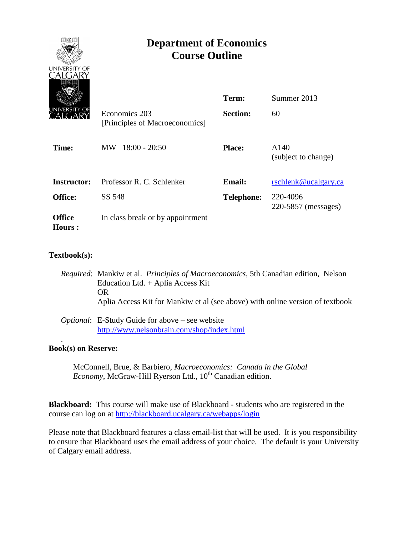

## **Textbook(s):**

- *Required*: Mankiw et al. *Principles of Macroeconomics*, 5th Canadian edition, Nelson Education Ltd. + Aplia Access Kit OR Aplia Access Kit for Mankiw et al (see above) with online version of textbook
- *Optional*: E-Study Guide for above see website <http://www.nelsonbrain.com/shop/index.html>

### **Book(s) on Reserve:**

.

McConnell, Brue, & Barbiero, *Macroeconomics: Canada in the Global Economy*, McGraw-Hill Ryerson Ltd., 10<sup>th</sup> Canadian edition.

**Blackboard:** This course will make use of Blackboard - students who are registered in the course can log on at<http://blackboard.ucalgary.ca/webapps/login>

Please note that Blackboard features a class email-list that will be used. It is you responsibility to ensure that Blackboard uses the email address of your choice. The default is your University of Calgary email address.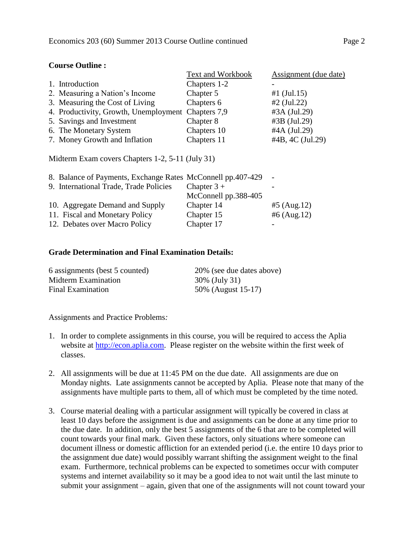#### **Course Outline :**

|                                                    | Text and Workbook | Assignment (due date) |
|----------------------------------------------------|-------------------|-----------------------|
| 1. Introduction                                    | Chapters 1-2      |                       |
| 2. Measuring a Nation's Income                     | Chapter 5         | #1 $(Jul.15)$         |
| 3. Measuring the Cost of Living                    | Chapters 6        | $#2$ (Jul.22)         |
| 4. Productivity, Growth, Unemployment Chapters 7,9 |                   | #3A (Jul.29)          |
| 5. Savings and Investment                          | Chapter 8         | #3B (Jul.29)          |
| 6. The Monetary System                             | Chapters 10       | #4A (Jul.29)          |
| 7. Money Growth and Inflation                      | Chapters 11       | #4B, 4C (Jul.29)      |

Midterm Exam covers Chapters 1-2, 5-11 (July 31)

| 8. Balance of Payments, Exchange Rates McConnell pp.407-429 |                      |                |
|-------------------------------------------------------------|----------------------|----------------|
| 9. International Trade, Trade Policies                      | Chapter $3 +$        |                |
|                                                             | McConnell pp.388-405 |                |
| 10. Aggregate Demand and Supply                             | Chapter 14           | $#5$ (Aug. 12) |
| 11. Fiscal and Monetary Policy                              | Chapter 15           | #6 $(Aug.12)$  |
| 12. Debates over Macro Policy                               | Chapter 17           |                |

#### **Grade Determination and Final Examination Details:**

| 6 assignments (best 5 counted) | 20% (see due dates above) |
|--------------------------------|---------------------------|
| Midterm Examination            | 30% (July 31)             |
| Final Examination              | 50% (August 15-17)        |

Assignments and Practice Problems*:*

- 1. In order to complete assignments in this course, you will be required to access the Aplia website at [http://econ.aplia.com.](http://econ.aplia.com/) Please register on the website within the first week of classes.
- 2. All assignments will be due at 11:45 PM on the due date. All assignments are due on Monday nights. Late assignments cannot be accepted by Aplia. Please note that many of the assignments have multiple parts to them, all of which must be completed by the time noted.
- 3. Course material dealing with a particular assignment will typically be covered in class at least 10 days before the assignment is due and assignments can be done at any time prior to the due date. In addition, only the best 5 assignments of the 6 that are to be completed will count towards your final mark. Given these factors, only situations where someone can document illness or domestic affliction for an extended period (i.e. the entire 10 days prior to the assignment due date) would possibly warrant shifting the assignment weight to the final exam. Furthermore, technical problems can be expected to sometimes occur with computer systems and internet availability so it may be a good idea to not wait until the last minute to submit your assignment – again, given that one of the assignments will not count toward your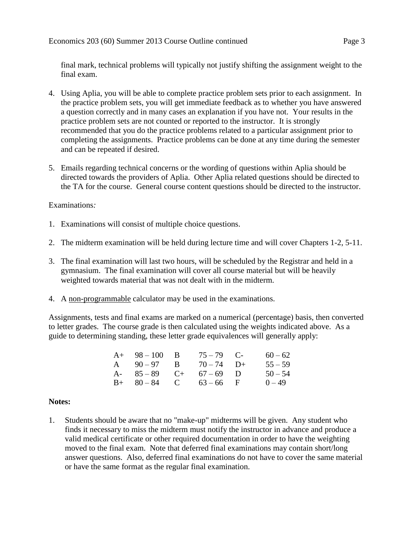final mark, technical problems will typically not justify shifting the assignment weight to the final exam.

- 4. Using Aplia, you will be able to complete practice problem sets prior to each assignment. In the practice problem sets, you will get immediate feedback as to whether you have answered a question correctly and in many cases an explanation if you have not. Your results in the practice problem sets are not counted or reported to the instructor. It is strongly recommended that you do the practice problems related to a particular assignment prior to completing the assignments. Practice problems can be done at any time during the semester and can be repeated if desired.
- 5. Emails regarding technical concerns or the wording of questions within Aplia should be directed towards the providers of Aplia. Other Aplia related questions should be directed to the TA for the course. General course content questions should be directed to the instructor.

## Examinations*:*

- 1. Examinations will consist of multiple choice questions.
- 2. The midterm examination will be held during lecture time and will cover Chapters 1-2, 5-11.
- 3. The final examination will last two hours, will be scheduled by the Registrar and held in a gymnasium. The final examination will cover all course material but will be heavily weighted towards material that was not dealt with in the midterm.
- 4. A non-programmable calculator may be used in the examinations.

Assignments, tests and final exams are marked on a numerical (percentage) basis, then converted to letter grades. The course grade is then calculated using the weights indicated above. As a guide to determining standing, these letter grade equivalences will generally apply:

| $A+ 98-100 B$           | $75 - 79$ C- | $60 - 62$ |
|-------------------------|--------------|-----------|
| A $90-97$ B $70-74$ D+  |              | $55 - 59$ |
| A- $85-89$ C+ $67-69$ D |              | $50 - 54$ |
| $B+ 80-84$ C $63-66$ F  |              | $0 - 49$  |

### **Notes:**

1. Students should be aware that no "make-up" midterms will be given. Any student who finds it necessary to miss the midterm must notify the instructor in advance and produce a valid medical certificate or other required documentation in order to have the weighting moved to the final exam. Note that deferred final examinations may contain short/long answer questions. Also, deferred final examinations do not have to cover the same material or have the same format as the regular final examination.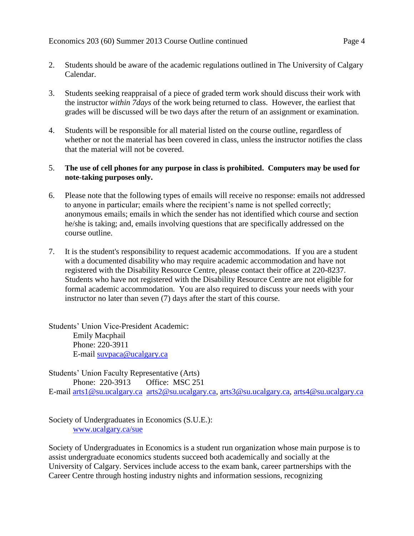- 2. Students should be aware of the academic regulations outlined in The University of Calgary Calendar.
- 3. Students seeking reappraisal of a piece of graded term work should discuss their work with the instructor *within 7days* of the work being returned to class. However, the earliest that grades will be discussed will be two days after the return of an assignment or examination.
- 4. Students will be responsible for all material listed on the course outline, regardless of whether or not the material has been covered in class, unless the instructor notifies the class that the material will not be covered.

# 5. **The use of cell phones for any purpose in class is prohibited. Computers may be used for note-taking purposes only.**

- 6. Please note that the following types of emails will receive no response: emails not addressed to anyone in particular; emails where the recipient's name is not spelled correctly; anonymous emails; emails in which the sender has not identified which course and section he/she is taking; and, emails involving questions that are specifically addressed on the course outline.
- 7. It is the student's responsibility to request academic accommodations. If you are a student with a documented disability who may require academic accommodation and have not registered with the Disability Resource Centre, please contact their office at 220-8237. Students who have not registered with the Disability Resource Centre are not eligible for formal academic accommodation. You are also required to discuss your needs with your instructor no later than seven (7) days after the start of this course.

Students' Union Vice-President Academic: Emily Macphail Phone: 220-3911 E-mail [suvpaca@ucalgary.ca](mailto:subpaca@ucalgary.ca)

Students' Union Faculty Representative (Arts) Phone: 220-3913 Office: MSC 251 E-mail [arts1@su.ucalgary.ca](mailto:arts1@su.ucalgary.ca) [arts2@su.ucalgary.ca,](mailto:arts2@su.ucalgary.ca) [arts3@su.ucalgary.ca,](mailto:arts3@su.ucalgary.ca) [arts4@su.ucalgary.ca](mailto:arts4@su.ucalgary.ca)

Society of Undergraduates in Economics (S.U.E.): [www.ucalgary.ca/sue](http://www.fp.ucalgary.ca/econ)

Society of Undergraduates in Economics is a student run organization whose main purpose is to assist undergraduate economics students succeed both academically and socially at the University of Calgary. Services include access to the exam bank, career partnerships with the Career Centre through hosting industry nights and information sessions, recognizing